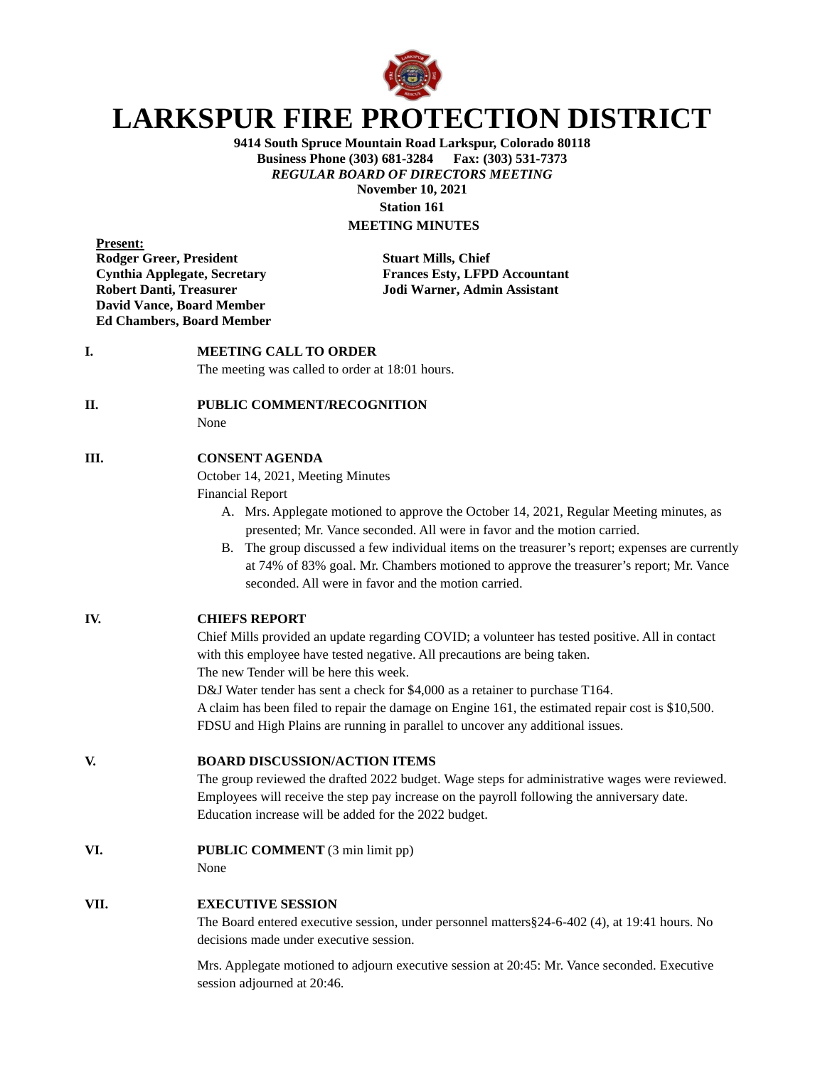

# **LARKSPUR FIRE PROTECTION DISTRICT**

**9414 South Spruce Mountain Road Larkspur, Colorado 80118 Business Phone (303) 681-3284** *REGULAR BOARD OF DIRECTORS MEETING* **November 10, 2021 Station 161**

# **MEETING MINUTES**

**Present: Rodger Greer, President Stuart Mills, Chief David Vance, Board Member Ed Chambers, Board Member**

**Cynthia Applegate, Secretary Frances Esty, LFPD Accountant Robert Danti, Treasurer Jodi Warner, Admin Assistant**

### **I. MEETING CALL TO ORDER**

The meeting was called to order at 18:01 hours.

#### **II. PUBLIC COMMENT/RECOGNITION**

None

#### **III. CONSENT AGENDA**

October 14, 2021, Meeting Minutes

Financial Report

- A. Mrs. Applegate motioned to approve the October 14, 2021, Regular Meeting minutes, as presented; Mr. Vance seconded. All were in favor and the motion carried.
- B. The group discussed a few individual items on the treasurer's report; expenses are currently at 74% of 83% goal. Mr. Chambers motioned to approve the treasurer's report; Mr. Vance seconded. All were in favor and the motion carried.

#### **IV. CHIEFS REPORT**

Chief Mills provided an update regarding COVID; a volunteer has tested positive. All in contact with this employee have tested negative. All precautions are being taken.

The new Tender will be here this week.

D&J Water tender has sent a check for \$4,000 as a retainer to purchase T164.

A claim has been filed to repair the damage on Engine 161, the estimated repair cost is \$10,500. FDSU and High Plains are running in parallel to uncover any additional issues.

#### **V. BOARD DISCUSSION/ACTION ITEMS**

The group reviewed the drafted 2022 budget. Wage steps for administrative wages were reviewed. Employees will receive the step pay increase on the payroll following the anniversary date. Education increase will be added for the 2022 budget.

**VI. PUBLIC COMMENT** (3 min limit pp)

None

#### **VII. EXECUTIVE SESSION**

The Board entered executive session, under personnel matters§24-6-402 (4), at 19:41 hours. No decisions made under executive session.

Mrs. Applegate motioned to adjourn executive session at 20:45: Mr. Vance seconded. Executive session adjourned at 20:46.